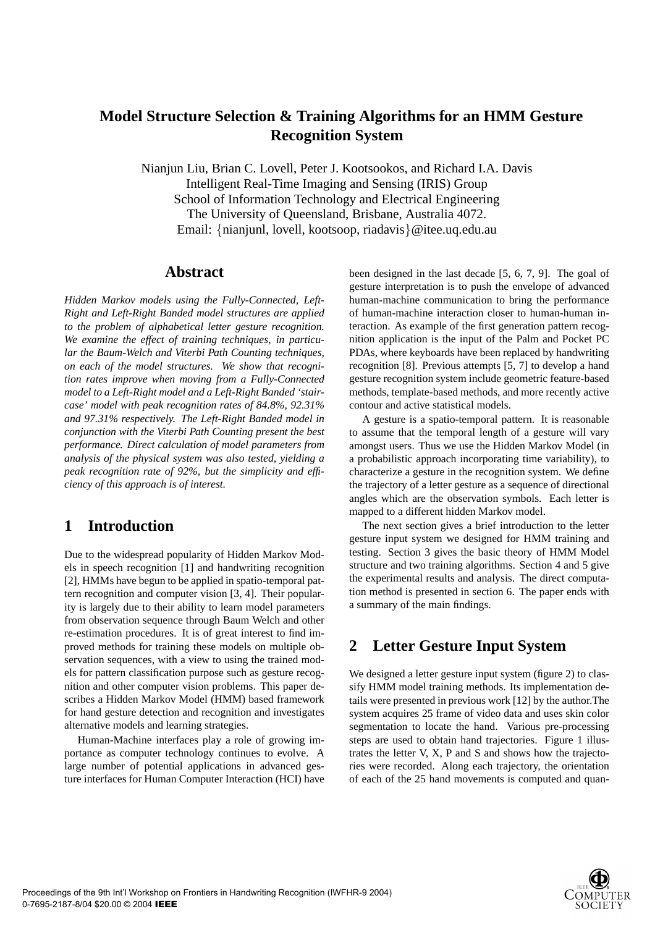# **Model Structure Selection & Training Algorithms for an HMM Gesture Recognition System**

Nianjun Liu, Brian C. Lovell, Peter J. Kootsookos, and Richard I.A. Davis Intelligent Real-Time Imaging and Sensing (IRIS) Group School of Information Technology and Electrical Engineering The University of Queensland, Brisbane, Australia 4072. Email: {nianjunl, lovell, kootsoop, riadavis}@itee.uq.edu.au

#### **Abstract**

*Hidden Markov models using the Fully-Connected, Left-Right and Left-Right Banded model structures are applied to the problem of alphabetical letter gesture recognition. We examine the effect of training techniques, in particular the Baum-Welch and Viterbi Path Counting techniques, on each of the model structures. We show that recognition rates improve when moving from a Fully-Connected model to a Left-Right model and a Left-Right Banded 'staircase' model with peak recognition rates of 84.8%, 92.31% and 97.31% respectively. The Left-Right Banded model in conjunction with the Viterbi Path Counting present the best performance. Direct calculation of model parameters from analysis of the physical system was also tested, yielding a peak recognition rate of 92%, but the simplicity and efficiency of this approach is of interest.*

## **1 Introduction**

Due to the widespread popularity of Hidden Markov Models in speech recognition [1] and handwriting recognition [2], HMMs have begun to be applied in spatio-temporal pattern recognition and computer vision [3, 4]. Their popularity is largely due to their ability to learn model parameters from observation sequence through Baum Welch and other re-estimation procedures. It is of great interest to find improved methods for training these models on multiple observation sequences, with a view to using the trained models for pattern classification purpose such as gesture recognition and other computer vision problems. This paper describes a Hidden Markov Model (HMM) based framework for hand gesture detection and recognition and investigates alternative models and learning strategies.

Human-Machine interfaces play a role of growing importance as computer technology continues to evolve. A large number of potential applications in advanced gesture interfaces for Human Computer Interaction (HCI) have been designed in the last decade [5, 6, 7, 9]. The goal of gesture interpretation is to push the envelope of advanced human-machine communication to bring the performance of human-machine interaction closer to human-human interaction. As example of the first generation pattern recognition application is the input of the Palm and Pocket PC PDAs, where keyboards have been replaced by handwriting recognition [8]. Previous attempts [5, 7] to develop a hand gesture recognition system include geometric feature-based methods, template-based methods, and more recently active contour and active statistical models.

A gesture is a spatio-temporal pattern. It is reasonable to assume that the temporal length of a gesture will vary amongst users. Thus we use the Hidden Markov Model (in a probabilistic approach incorporating time variability), to characterize a gesture in the recognition system. We define the trajectory of a letter gesture as a sequence of directional angles which are the observation symbols. Each letter is mapped to a different hidden Markov model.

The next section gives a brief introduction to the letter gesture input system we designed for HMM training and testing. Section 3 gives the basic theory of HMM Model structure and two training algorithms. Section 4 and 5 give the experimental results and analysis. The direct computation method is presented in section 6. The paper ends with a summary of the main findings.

## **2 Letter Gesture Input System**

We designed a letter gesture input system (figure 2) to classify HMM model training methods. Its implementation details were presented in previous work [12] by the author.The system acquires 25 frame of video data and uses skin color segmentation to locate the hand. Various pre-processing steps are used to obtain hand trajectories. Figure 1 illustrates the letter V, X, P and S and shows how the trajectories were recorded. Along each trajectory, the orientation of each of the 25 hand movements is computed and quan-

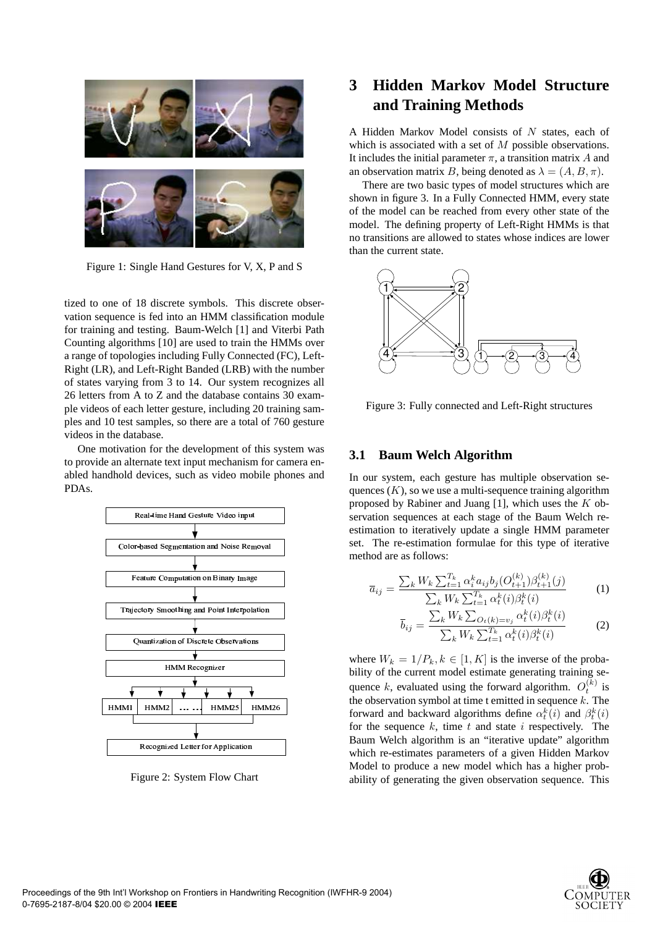

Figure 1: Single Hand Gestures for V, X, P and S

tized to one of 18 discrete symbols. This discrete observation sequence is fed into an HMM classification module for training and testing. Baum-Welch [1] and Viterbi Path Counting algorithms [10] are used to train the HMMs over a range of topologies including Fully Connected (FC), Left-Right (LR), and Left-Right Banded (LRB) with the number of states varying from 3 to 14. Our system recognizes all 26 letters from A to Z and the database contains 30 example videos of each letter gesture, including 20 training samples and 10 test samples, so there are a total of 760 gesture videos in the database.

One motivation for the development of this system was to provide an alternate text input mechanism for camera enabled handhold devices, such as video mobile phones and PDAs.



Figure 2: System Flow Chart

## **3 Hidden Markov Model Structure and Training Methods**

A Hidden Markov Model consists of N states, each of which is associated with a set of M possible observations. It includes the initial parameter  $\pi$ , a transition matrix A and an observation matrix B, being denoted as  $\lambda = (A, B, \pi)$ .

There are two basic types of model structures which are shown in figure 3. In a Fully Connected HMM, every state of the model can be reached from every other state of the model. The defining property of Left-Right HMMs is that no transitions are allowed to states whose indices are lower than the current state.



Figure 3: Fully connected and Left-Right structures

#### **3.1 Baum Welch Algorithm**

In our system, each gesture has multiple observation sequences  $(K)$ , so we use a multi-sequence training algorithm proposed by Rabiner and Juang  $[1]$ , which uses the K observation sequences at each stage of the Baum Welch reestimation to iteratively update a single HMM parameter set. The re-estimation formulae for this type of iterative method are as follows:

$$
\overline{a}_{ij} = \frac{\sum_{k} W_k \sum_{t=1}^{T_k} \alpha_i^k a_{ij} b_j (O_{t+1}^{(k)}) \beta_{t+1}^{(k)}(j)}{\sum_{k} W_k \sum_{t=1}^{T_k} \alpha_i^k(i) \beta_i^k(i)}
$$
(1)

$$
\bar{b}_{ij} = \frac{\sum_{k} W_k \sum_{O_t(k) = v_j} \alpha_t^k(i) \beta_t^k(i)}{\sum_{k} W_k \sum_{t=1}^{T_k} \alpha_t^k(i) \beta_t^k(i)}
$$
(2)

where  $W_k = 1/P_k, k \in [1, K]$  is the inverse of the probability of the current model estimate generating training sequence k, evaluated using the forward algorithm.  $O_t^{(k)}$  is the observation symbol at time t emitted in sequence  $k$ . The forward and backward algorithms define  $\alpha_t^k(i)$  and  $\beta_t^k(i)$ for the sequence  $k$ , time  $t$  and state  $i$  respectively. The Baum Welch algorithm is an "iterative update" algorithm which re-estimates parameters of a given Hidden Markov Model to produce a new model which has a higher probability of generating the given observation sequence. This

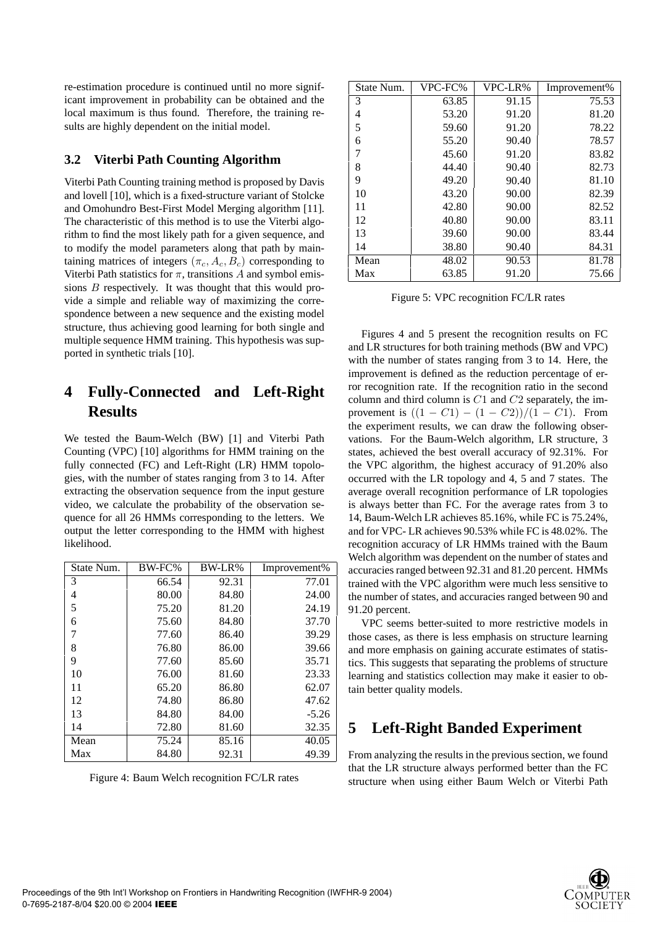re-estimation procedure is continued until no more significant improvement in probability can be obtained and the local maximum is thus found. Therefore, the training results are highly dependent on the initial model.

#### **3.2 Viterbi Path Counting Algorithm**

Viterbi Path Counting training method is proposed by Davis and lovell [10], which is a fixed-structure variant of Stolcke and Omohundro Best-First Model Merging algorithm [11]. The characteristic of this method is to use the Viterbi algorithm to find the most likely path for a given sequence, and to modify the model parameters along that path by maintaining matrices of integers ( $\pi_c$ ,  $A_c$ ,  $B_c$ ) corresponding to Viterbi Path statistics for  $\pi$ , transitions A and symbol emissions B respectively. It was thought that this would provide a simple and reliable way of maximizing the correspondence between a new sequence and the existing model structure, thus achieving good learning for both single and multiple sequence HMM training. This hypothesis was supported in synthetic trials [10].

# **4 Fully-Connected and Left-Right Results**

We tested the Baum-Welch (BW) [1] and Viterbi Path Counting (VPC) [10] algorithms for HMM training on the fully connected (FC) and Left-Right (LR) HMM topologies, with the number of states ranging from 3 to 14. After extracting the observation sequence from the input gesture video, we calculate the probability of the observation sequence for all 26 HMMs corresponding to the letters. We output the letter corresponding to the HMM with highest likelihood.

| State Num. | BW-FC% | BW-LR% | Improvement% |
|------------|--------|--------|--------------|
| 3          | 66.54  | 92.31  | 77.01        |
| 4          | 80.00  | 84.80  | 24.00        |
| 5          | 75.20  | 81.20  | 24.19        |
| 6          | 75.60  | 84.80  | 37.70        |
| 7          | 77.60  | 86.40  | 39.29        |
| 8          | 76.80  | 86.00  | 39.66        |
| 9          | 77.60  | 85.60  | 35.71        |
| 10         | 76.00  | 81.60  | 23.33        |
| 11         | 65.20  | 86.80  | 62.07        |
| 12         | 74.80  | 86.80  | 47.62        |
| 13         | 84.80  | 84.00  | $-5.26$      |
| 14         | 72.80  | 81.60  | 32.35        |
| Mean       | 75.24  | 85.16  | 40.05        |
| Max        | 84.80  | 92.31  | 49.39        |

Figure 4: Baum Welch recognition FC/LR rates

| State Num. | VPC-FC% | VPC-LR% | Improvement% |
|------------|---------|---------|--------------|
| 3          | 63.85   | 91.15   | 75.53        |
| 4          | 53.20   | 91.20   | 81.20        |
| 5          | 59.60   | 91.20   | 78.22        |
| 6          | 55.20   | 90.40   | 78.57        |
| 7          | 45.60   | 91.20   | 83.82        |
| 8          | 44.40   | 90.40   | 82.73        |
| 9          | 49.20   | 90.40   | 81.10        |
| 10         | 43.20   | 90.00   | 82.39        |
| 11         | 42.80   | 90.00   | 82.52        |
| 12         | 40.80   | 90.00   | 83.11        |
| 13         | 39.60   | 90.00   | 83.44        |
| 14         | 38.80   | 90.40   | 84.31        |
| Mean       | 48.02   | 90.53   | 81.78        |
| Max        | 63.85   | 91.20   | 75.66        |

Figure 5: VPC recognition FC/LR rates

Figures 4 and 5 present the recognition results on FC and LR structures for both training methods (BW and VPC) with the number of states ranging from 3 to 14. Here, the improvement is defined as the reduction percentage of error recognition rate. If the recognition ratio in the second column and third column is  $C1$  and  $C2$  separately, the improvement is  $((1 - C1) - (1 - C2))/(1 - C1)$ . From the experiment results, we can draw the following observations. For the Baum-Welch algorithm, LR structure, 3 states, achieved the best overall accuracy of 92.31%. For the VPC algorithm, the highest accuracy of 91.20% also occurred with the LR topology and 4, 5 and 7 states. The average overall recognition performance of LR topologies is always better than FC. For the average rates from 3 to 14, Baum-Welch LR achieves 85.16%, while FC is 75.24%, and for VPC- LR achieves 90.53% while FC is 48.02%. The recognition accuracy of LR HMMs trained with the Baum Welch algorithm was dependent on the number of states and accuracies ranged between 92.31 and 81.20 percent. HMMs trained with the VPC algorithm were much less sensitive to the number of states, and accuracies ranged between 90 and 91.20 percent.

VPC seems better-suited to more restrictive models in those cases, as there is less emphasis on structure learning and more emphasis on gaining accurate estimates of statistics. This suggests that separating the problems of structure learning and statistics collection may make it easier to obtain better quality models.

## **5 Left-Right Banded Experiment**

From analyzing the results in the previous section, we found that the LR structure always performed better than the FC structure when using either Baum Welch or Viterbi Path

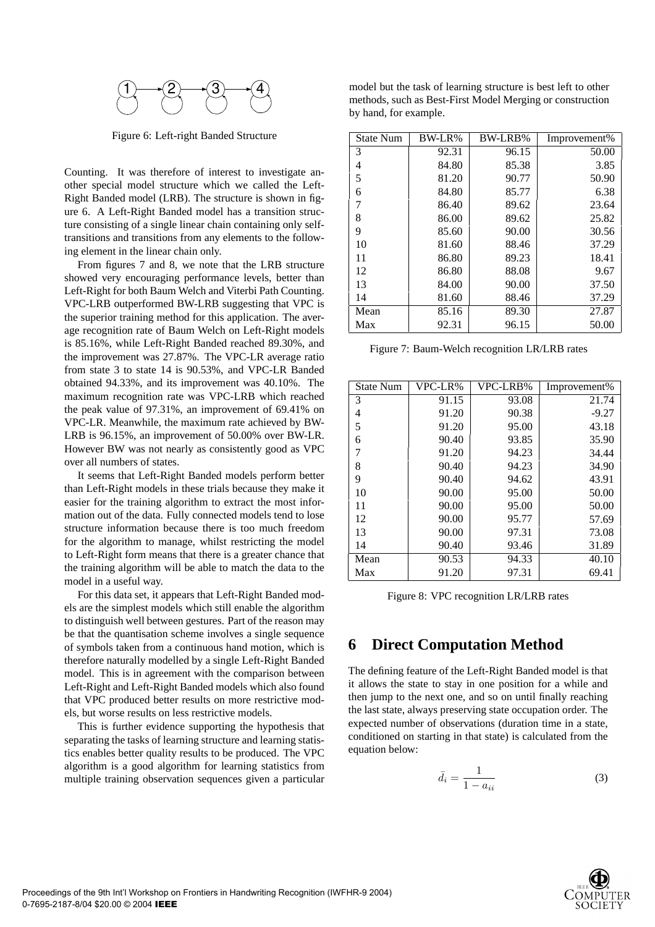

Figure 6: Left-right Banded Structure

Counting. It was therefore of interest to investigate another special model structure which we called the Left-Right Banded model (LRB). The structure is shown in figure 6. A Left-Right Banded model has a transition structure consisting of a single linear chain containing only selftransitions and transitions from any elements to the following element in the linear chain only.

From figures 7 and 8, we note that the LRB structure showed very encouraging performance levels, better than Left-Right for both Baum Welch and Viterbi Path Counting. VPC-LRB outperformed BW-LRB suggesting that VPC is the superior training method for this application. The average recognition rate of Baum Welch on Left-Right models is 85.16%, while Left-Right Banded reached 89.30%, and the improvement was 27.87%. The VPC-LR average ratio from state 3 to state 14 is 90.53%, and VPC-LR Banded obtained 94.33%, and its improvement was 40.10%. The maximum recognition rate was VPC-LRB which reached the peak value of 97.31%, an improvement of 69.41% on VPC-LR. Meanwhile, the maximum rate achieved by BW-LRB is 96.15%, an improvement of 50.00% over BW-LR. However BW was not nearly as consistently good as VPC over all numbers of states.

It seems that Left-Right Banded models perform better than Left-Right models in these trials because they make it easier for the training algorithm to extract the most information out of the data. Fully connected models tend to lose structure information because there is too much freedom for the algorithm to manage, whilst restricting the model to Left-Right form means that there is a greater chance that the training algorithm will be able to match the data to the model in a useful way.

For this data set, it appears that Left-Right Banded models are the simplest models which still enable the algorithm to distinguish well between gestures. Part of the reason may be that the quantisation scheme involves a single sequence of symbols taken from a continuous hand motion, which is therefore naturally modelled by a single Left-Right Banded model. This is in agreement with the comparison between Left-Right and Left-Right Banded models which also found that VPC produced better results on more restrictive models, but worse results on less restrictive models.

This is further evidence supporting the hypothesis that separating the tasks of learning structure and learning statistics enables better quality results to be produced. The VPC algorithm is a good algorithm for learning statistics from multiple training observation sequences given a particular

model but the task of learning structure is best left to other methods, such as Best-First Model Merging or construction by hand, for example.

| <b>State Num</b> | BW-LR% | BW-LRB% | Improvement% |
|------------------|--------|---------|--------------|
| 3                | 92.31  | 96.15   | 50.00        |
| 4                | 84.80  | 85.38   | 3.85         |
| 5                | 81.20  | 90.77   | 50.90        |
| 6                | 84.80  | 85.77   | 6.38         |
| 7                | 86.40  | 89.62   | 23.64        |
| 8                | 86.00  | 89.62   | 25.82        |
| 9                | 85.60  | 90.00   | 30.56        |
| 10               | 81.60  | 88.46   | 37.29        |
| 11               | 86.80  | 89.23   | 18.41        |
| 12               | 86.80  | 88.08   | 9.67         |
| 13               | 84.00  | 90.00   | 37.50        |
| 14               | 81.60  | 88.46   | 37.29        |
| Mean             | 85.16  | 89.30   | 27.87        |
| Max              | 92.31  | 96.15   | 50.00        |

Figure 7: Baum-Welch recognition LR/LRB rates

| <b>State Num</b> | VPC-LR% | VPC-LRB% | Improvement% |
|------------------|---------|----------|--------------|
| 3                | 91.15   | 93.08    | 21.74        |
| 4                | 91.20   | 90.38    | $-9.27$      |
| 5                | 91.20   | 95.00    | 43.18        |
| 6                | 90.40   | 93.85    | 35.90        |
| 7                | 91.20   | 94.23    | 34.44        |
| 8                | 90.40   | 94.23    | 34.90        |
| 9                | 90.40   | 94.62    | 43.91        |
| 10               | 90.00   | 95.00    | 50.00        |
| 11               | 90.00   | 95.00    | 50.00        |
| 12               | 90.00   | 95.77    | 57.69        |
| 13               | 90.00   | 97.31    | 73.08        |
| 14               | 90.40   | 93.46    | 31.89        |
| Mean             | 90.53   | 94.33    | 40.10        |
| Max              | 91.20   | 97.31    | 69.41        |

Figure 8: VPC recognition LR/LRB rates

## **6 Direct Computation Method**

The defining feature of the Left-Right Banded model is that it allows the state to stay in one position for a while and then jump to the next one, and so on until finally reaching the last state, always preserving state occupation order. The expected number of observations (duration time in a state, conditioned on starting in that state) is calculated from the equation below:

$$
\bar{d}_i = \frac{1}{1 - a_{ii}}\tag{3}
$$

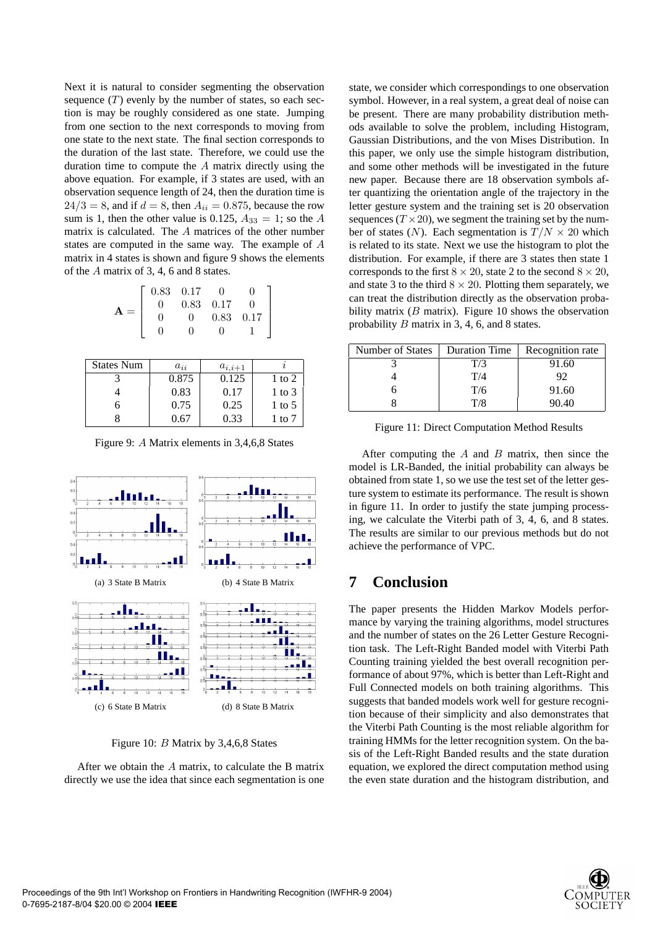Next it is natural to consider segmenting the observation sequence  $(T)$  evenly by the number of states, so each section is may be roughly considered as one state. Jumping from one section to the next corresponds to moving from one state to the next state. The final section corresponds to the duration of the last state. Therefore, we could use the duration time to compute the A matrix directly using the above equation. For example, if 3 states are used, with an observation sequence length of 24, then the duration time is  $24/3 = 8$ , and if  $d = 8$ , then  $A_{ii} = 0.875$ , because the row sum is 1, then the other value is 0.125,  $A_{33} = 1$ ; so the A matrix is calculated. The A matrices of the other number states are computed in the same way. The example of A matrix in 4 states is shown and figure 9 shows the elements of the A matrix of 3, 4, 6 and 8 states.

|  | $0.83\quad 0.17$ | $\vert 0 \vert$  |      |  |
|--|------------------|------------------|------|--|
|  |                  | $0.83\quad 0.17$ |      |  |
|  |                  | 0.83             | 0.17 |  |
|  |                  |                  |      |  |

| <b>States Num</b> | $a_{ii}$ | $a_{i,i+1}$ |                   |
|-------------------|----------|-------------|-------------------|
|                   | 0.875    | 0.125       | 1 to 2            |
|                   | 0.83     | 0.17        | $1 \text{ to } 3$ |
|                   | 0.75     | 0.25        | 1 to 5            |
|                   | 0.67     | 0.33        | 1 to $7$          |

Figure 9: A Matrix elements in 3,4,6,8 States



Figure 10: B Matrix by 3,4,6,8 States

After we obtain the A matrix, to calculate the B matrix directly we use the idea that since each segmentation is one

state, we consider which correspondings to one observation symbol. However, in a real system, a great deal of noise can be present. There are many probability distribution methods available to solve the problem, including Histogram, Gaussian Distributions, and the von Mises Distribution. In this paper, we only use the simple histogram distribution, and some other methods will be investigated in the future new paper. Because there are 18 observation symbols after quantizing the orientation angle of the trajectory in the letter gesture system and the training set is 20 observation sequences  $(T \times 20)$ , we segment the training set by the number of states (N). Each segmentation is  $T/N \times 20$  which is related to its state. Next we use the histogram to plot the distribution. For example, if there are 3 states then state 1 corresponds to the first  $8 \times 20$ , state 2 to the second  $8 \times 20$ , and state 3 to the third  $8 \times 20$ . Plotting them separately, we can treat the distribution directly as the observation probability matrix  $(B \text{ matrix})$ . Figure 10 shows the observation probability B matrix in 3, 4, 6, and 8 states.

| Number of States | <b>Duration Time</b> | Recognition rate |
|------------------|----------------------|------------------|
|                  | T/3                  | 91.60            |
|                  | T/4                  | 92               |
|                  | T/6                  | 91.60            |
|                  | $T\sqrt{8}$          | 90.40            |

Figure 11: Direct Computation Method Results

After computing the  $A$  and  $B$  matrix, then since the model is LR-Banded, the initial probability can always be obtained from state 1, so we use the test set of the letter gesture system to estimate its performance. The result is shown in figure 11. In order to justify the state jumping processing, we calculate the Viterbi path of 3, 4, 6, and 8 states. The results are similar to our previous methods but do not achieve the performance of VPC.

#### **7 Conclusion**

The paper presents the Hidden Markov Models performance by varying the training algorithms, model structures and the number of states on the 26 Letter Gesture Recognition task. The Left-Right Banded model with Viterbi Path Counting training yielded the best overall recognition performance of about 97%, which is better than Left-Right and Full Connected models on both training algorithms. This suggests that banded models work well for gesture recognition because of their simplicity and also demonstrates that the Viterbi Path Counting is the most reliable algorithm for training HMMs for the letter recognition system. On the basis of the Left-Right Banded results and the state duration equation, we explored the direct computation method using the even state duration and the histogram distribution, and